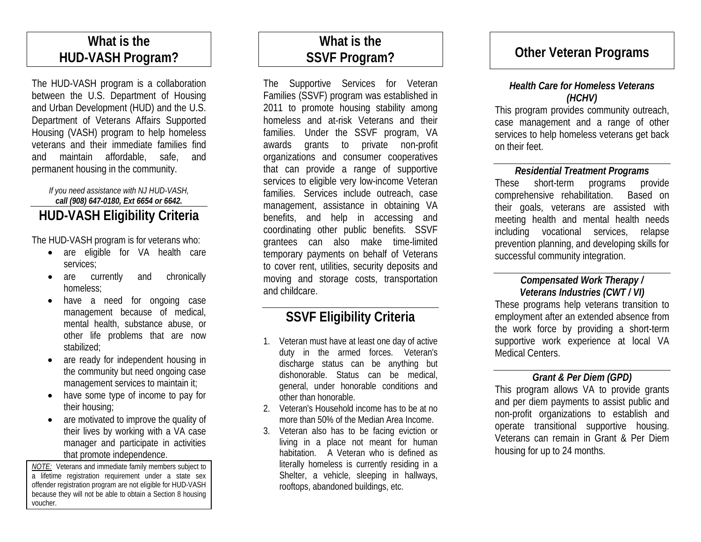# **What is the HUD-VASH Program?**

The HUD-VASH program is a collaboration between the U.S. Department of Housing and Urban Development (HUD) and the U.S. Department of Veterans Affairs Supported Housing (VASH) program to help homeless veterans and their immediate families find and maintain affordable, safe, and permanent housing in the community.

### *If you need assistance with NJ HUD-VASH, call (908) 647-0180, Ext 6654 or 6642.* **HUD-VASH Eligibility Criteria**

The HUD-VASH program is for veterans who:

- are eligible for VA health care services;
- are currently and chronically homeless;
- have a need for ongoing case management because of medical, mental health, substance abuse, or other life problems that are now stabilized;
- are ready for independent housing in the community but need ongoing case management services to maintain it;
- have some type of income to pay for their housing;
- are motivated to improve the quality of their lives by working with a VA case manager and participate in activities that promote independence.

*NOTE:* Veterans and immediate family members subject to a lifetime registration requirement under a state sex offender registration program are not eligible for HUD-VASH because they will not be able to obtain a Section 8 housing voucher.

# **What is the SSVF Program?**

The Supportive Services for Veteran Families (SSVF) program was established in 2011 to promote housing stability among homeless and at-risk Veterans and their families. Under the SSVF program, VA awards grants to private non-profit organizations and consumer cooperatives that can provide a range of supportive services to eligible very low-income Veteran families. Services include outreach, case management, assistance in obtaining VA benefits, and help in accessing and coordinating other public benefits. SSVF grantees can also make time-limited temporary payments on behalf of Veterans to cover rent, utilities, security deposits and moving and storage costs, transportation and childcare.

# **SSVF Eligibility Criteria**

- 1. Veteran must have at least one day of active duty in the armed forces. Veteran's discharge status can be anything but dishonorable. Status can be medical, general, under honorable conditions and other than honorable.
- 2. Veteran's Household income has to be at no more than 50% of the Median Area Income.
- 3. Veteran also has to be facing eviction or living in a place not meant for human habitation. A Veteran who is defined as literally homeless is currently residing in a Shelter, a vehicle, sleeping in hallways, rooftops, abandoned buildings, etc.

# **Other Veteran Programs**

### *Health Care for Homeless Veterans (HCHV)*

This program provides community outreach, case management and a range of other services to help homeless veterans get back on their feet.

### *Residential Treatment Programs*

These short-term programs provide comprehensive rehabilitation. Based on their goals, veterans are assisted with meeting health and mental health needs including vocational services, relapse prevention planning, and developing skills for successful community integration.

### *Compensated Work Therapy / Veterans Industries (CWT / VI)*

These programs help veterans transition to employment after an extended absence from the work force by providing a short-term supportive work experience at local VA Medical Centers.

## *Grant & Per Diem (GPD)*

This program allows VA to provide grants and per diem payments to assist public and non-profit organizations to establish and operate transitional supportive housing. Veterans can remain in Grant & Per Diem housing for up to 24 months.